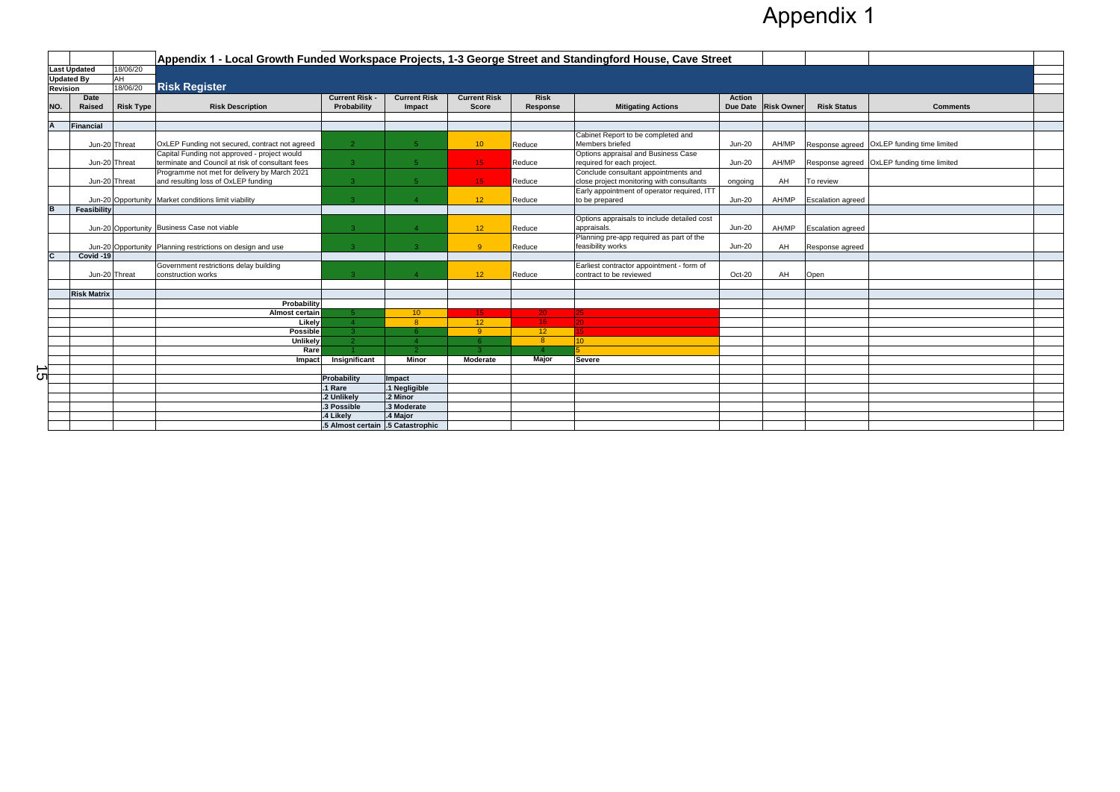|                 |                         |                  | Appendix 1 - Local Growth Funded Workspace Projects, 1-3 George Street and Standingford House, Cave Street |                                   |                         |                     |                 |                                                               |               |                     |                          |                                            |  |
|-----------------|-------------------------|------------------|------------------------------------------------------------------------------------------------------------|-----------------------------------|-------------------------|---------------------|-----------------|---------------------------------------------------------------|---------------|---------------------|--------------------------|--------------------------------------------|--|
|                 | <b>Last Updated</b>     | 18/06/20         |                                                                                                            |                                   |                         |                     |                 |                                                               |               |                     |                          |                                            |  |
|                 | AH<br><b>Updated By</b> |                  |                                                                                                            |                                   |                         |                     |                 |                                                               |               |                     |                          |                                            |  |
| <b>Revision</b> |                         | 18/06/20         | <b>Risk Register</b>                                                                                       |                                   |                         |                     |                 |                                                               |               |                     |                          |                                            |  |
|                 | <b>Date</b>             |                  |                                                                                                            | <b>Current Risk -</b>             | <b>Current Risk</b>     | <b>Current Risk</b> | <b>Risk</b>     |                                                               | <b>Action</b> |                     |                          |                                            |  |
| NO.             | Raised                  | <b>Risk Type</b> | <b>Risk Description</b>                                                                                    | Probability                       | Impact                  | <b>Score</b>        | Response        | <b>Mitigating Actions</b>                                     |               | Due Date Risk Owner | <b>Risk Status</b>       | <b>Comments</b>                            |  |
|                 |                         |                  |                                                                                                            |                                   |                         |                     |                 |                                                               |               |                     |                          |                                            |  |
| IA.             | <b>Financial</b>        |                  |                                                                                                            |                                   |                         |                     |                 |                                                               |               |                     |                          |                                            |  |
|                 | Jun-20 Threat           |                  | OxLEP Funding not secured, contract not agreed                                                             | $\overline{2}$                    | 5 <sup>1</sup>          | 10 <sup>°</sup>     | Reduce          | Cabinet Report to be completed and<br>Members briefed         | <b>Jun-20</b> | AH/MP               |                          | Response agreed OxLEP funding time limited |  |
|                 |                         |                  | Capital Funding not approved - project would                                                               |                                   |                         |                     |                 | Options appraisal and Business Case                           |               |                     |                          |                                            |  |
|                 | Jun-20 Threat           |                  | terminate and Council at risk of consultant fees                                                           | 3 <sup>°</sup>                    | 5 <sup>1</sup>          | 15 <sub>1</sub>     | Reduce          | required for each project.                                    | $Jun-20$      | AH/MP               |                          | Response agreed OxLEP funding time limited |  |
|                 |                         |                  | Programme not met for delivery by March 2021                                                               |                                   |                         |                     |                 | Conclude consultant appointments and                          |               |                     |                          |                                            |  |
|                 | Jun-20 Threat           |                  | and resulting loss of OxLEP funding                                                                        | 3 <sup>°</sup>                    |                         | 15 <sub>1</sub>     | Reduce          | close project monitoring with consultants                     | ongoing       | AH                  | To review                |                                            |  |
|                 |                         |                  |                                                                                                            |                                   |                         |                     |                 | Early appointment of operator required, ITT                   |               |                     |                          |                                            |  |
|                 |                         |                  | Jun-20 Opportunity Market conditions limit viability                                                       | 3 <sup>°</sup>                    |                         | 12 <sup>°</sup>     | Reduce          | to be prepared                                                | <b>Jun-20</b> | AH/MP               | <b>Escalation agreed</b> |                                            |  |
| B               | Feasibility             |                  |                                                                                                            |                                   |                         |                     |                 |                                                               |               |                     |                          |                                            |  |
|                 |                         |                  |                                                                                                            |                                   |                         |                     |                 | Options appraisals to include detailed cost                   |               |                     |                          |                                            |  |
|                 |                         |                  | Jun-20 Opportunity Business Case not viable                                                                | $\overline{3}$                    |                         | 12 <sup>7</sup>     | Reduce          | appraisals.                                                   | <b>Jun-20</b> | AH/MP               | <b>Escalation agreed</b> |                                            |  |
|                 |                         |                  |                                                                                                            |                                   |                         | -9                  |                 | Planning pre-app required as part of the<br>feasibility works | <b>Jun-20</b> |                     |                          |                                            |  |
|                 | Covid -19               |                  | Jun-20 Opportunity Planning restrictions on design and use                                                 | 3 <sup>°</sup>                    |                         |                     | Reduce          |                                                               |               | AH                  | Response agreed          |                                            |  |
|                 |                         |                  | Government restrictions delay building                                                                     |                                   |                         |                     |                 | Earliest contractor appointment - form of                     |               |                     |                          |                                            |  |
|                 | Jun-20 Threat           |                  | construction works                                                                                         | $\mathbf{3}$                      |                         | 12 <sup>7</sup>     | Reduce          | contract to be reviewed                                       | $Oct-20$      | AH                  | Open                     |                                            |  |
|                 |                         |                  |                                                                                                            |                                   |                         |                     |                 |                                                               |               |                     |                          |                                            |  |
|                 | <b>Risk Matrix</b>      |                  |                                                                                                            |                                   |                         |                     |                 |                                                               |               |                     |                          |                                            |  |
|                 |                         |                  | Probability                                                                                                |                                   |                         |                     |                 |                                                               |               |                     |                          |                                            |  |
|                 |                         |                  | <b>Almost certain</b>                                                                                      | -5.                               | 10 <sup>°</sup>         | 15 <sub>1</sub>     | 20 <sub>1</sub> | $ 25\rangle$                                                  |               |                     |                          |                                            |  |
|                 |                         |                  | Likely                                                                                                     | $\Lambda$                         | 8                       | 12                  | 16 <sub>1</sub> | 20                                                            |               |                     |                          |                                            |  |
|                 |                         |                  | <b>Possible</b>                                                                                            | 3 <sup>1</sup>                    |                         | $\overline{9}$      | 12              |                                                               |               |                     |                          |                                            |  |
|                 |                         |                  | Unlikely                                                                                                   | $\mathcal{P}$                     |                         | -6                  | 8 <sup>°</sup>  | 10 <sup>1</sup>                                               |               |                     |                          |                                            |  |
|                 |                         |                  | Rare                                                                                                       |                                   |                         |                     |                 |                                                               |               |                     |                          |                                            |  |
|                 |                         |                  | Impact                                                                                                     | Insignificant                     | <b>Minor</b>            | Moderate            | <b>Major</b>    | <b>Severe</b>                                                 |               |                     |                          |                                            |  |
| ∸               |                         |                  |                                                                                                            |                                   |                         |                     |                 |                                                               |               |                     |                          |                                            |  |
| <u>ဟ</u>        |                         |                  |                                                                                                            | Probability                       | Impact                  |                     |                 |                                                               |               |                     |                          |                                            |  |
|                 |                         |                  |                                                                                                            | .1 Rare                           | .1 Negligible           |                     |                 |                                                               |               |                     |                          |                                            |  |
|                 |                         |                  |                                                                                                            | .2 Unlikely                       | .2 Minor<br>.3 Moderate |                     |                 |                                                               |               |                     |                          |                                            |  |
|                 |                         |                  |                                                                                                            | .3 Possible<br>.4 Likely          | .4 Major                |                     |                 |                                                               |               |                     |                          |                                            |  |
|                 |                         |                  |                                                                                                            | .5 Almost certain .5 Catastrophic |                         |                     |                 |                                                               |               |                     |                          |                                            |  |
|                 |                         |                  |                                                                                                            |                                   |                         |                     |                 |                                                               |               |                     |                          |                                            |  |

## Appendix 1